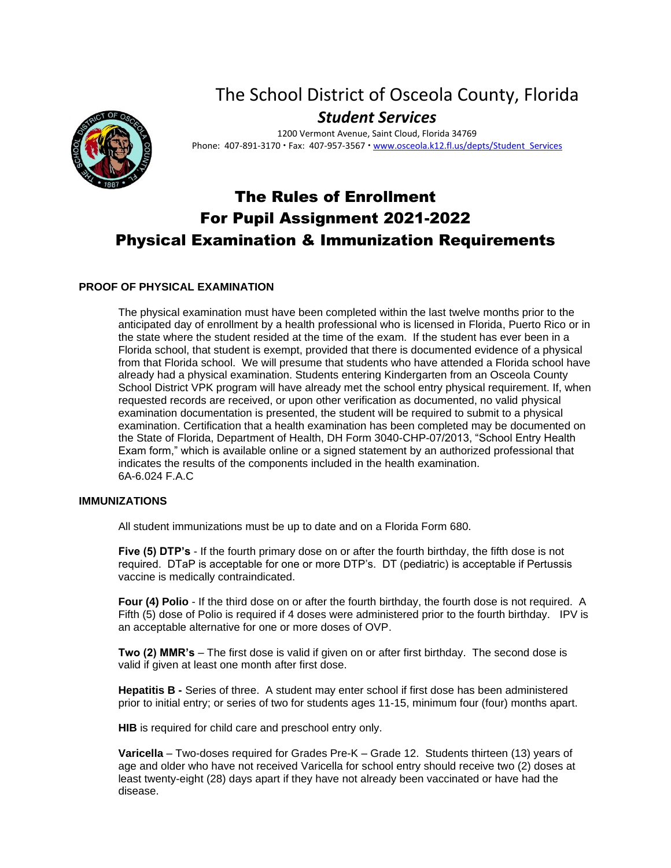# The School District of Osceola County, Florida *Student Services*

1200 Vermont Avenue, Saint Cloud, Florida 34769 Phone: 407-891-3170 · Fax: 407-957-3567 · www.osceola.k12.fl.us/depts/Student Services

# The Rules of Enrollment For Pupil Assignment 2021-2022 Physical Examination & Immunization Requirements

## **PROOF OF PHYSICAL EXAMINATION**

The physical examination must have been completed within the last twelve months prior to the anticipated day of enrollment by a health professional who is licensed in Florida, Puerto Rico or in the state where the student resided at the time of the exam. If the student has ever been in a Florida school, that student is exempt, provided that there is documented evidence of a physical from that Florida school. We will presume that students who have attended a Florida school have already had a physical examination. Students entering Kindergarten from an Osceola County School District VPK program will have already met the school entry physical requirement. If, when requested records are received, or upon other verification as documented, no valid physical examination documentation is presented, the student will be required to submit to a physical examination. Certification that a health examination has been completed may be documented on the State of Florida, Department of Health, DH Form 3040-CHP-07/2013, "School Entry Health Exam form," which is available online or a signed statement by an authorized professional that indicates the results of the components included in the health examination. 6A-6.024 F.A.C

### **IMMUNIZATIONS**

All student immunizations must be up to date and on a Florida Form 680.

**Five (5) DTP's** - If the fourth primary dose on or after the fourth birthday, the fifth dose is not required. DTaP is acceptable for one or more DTP's. DT (pediatric) is acceptable if Pertussis vaccine is medically contraindicated.

**Four (4) Polio** - If the third dose on or after the fourth birthday, the fourth dose is not required. A Fifth (5) dose of Polio is required if 4 doses were administered prior to the fourth birthday. IPV is an acceptable alternative for one or more doses of OVP.

**Two (2) MMR's** – The first dose is valid if given on or after first birthday. The second dose is valid if given at least one month after first dose.

**Hepatitis B -** Series of three. A student may enter school if first dose has been administered prior to initial entry; or series of two for students ages 11-15, minimum four (four) months apart.

**HIB** is required for child care and preschool entry only.

**Varicella** – Two-doses required for Grades Pre-K – Grade 12. Students thirteen (13) years of age and older who have not received Varicella for school entry should receive two (2) doses at least twenty-eight (28) days apart if they have not already been vaccinated or have had the disease.